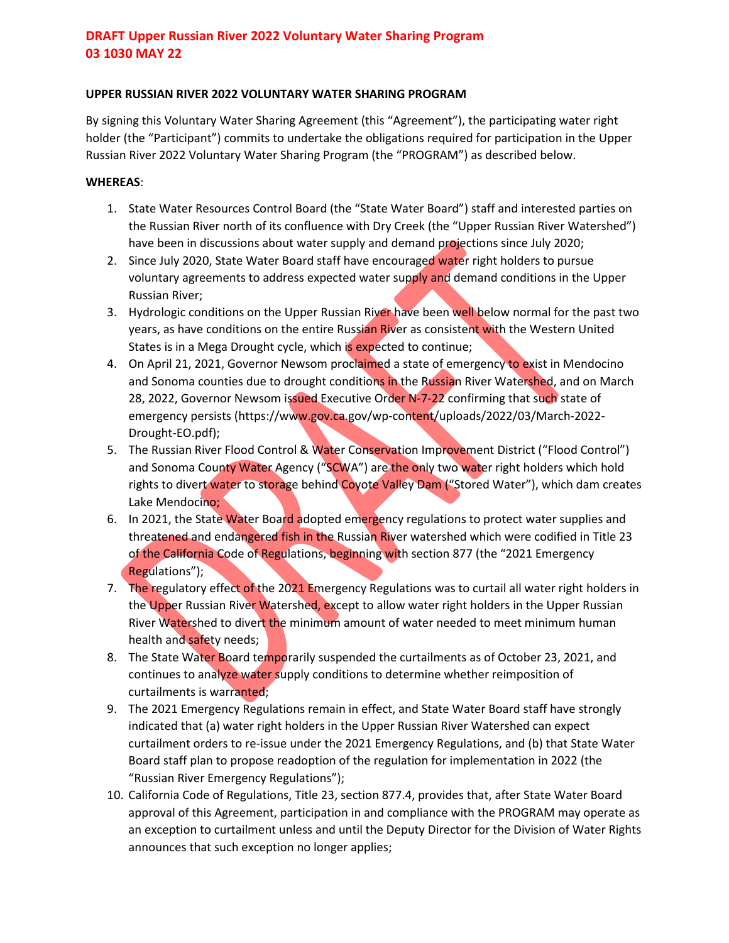### **UPPER RUSSIAN RIVER 2022 VOLUNTARY WATER SHARING PROGRAM**

By signing this Voluntary Water Sharing Agreement (this "Agreement"), the participating water right holder (the "Participant") commits to undertake the obligations required for participation in the Upper Russian River 2022 Voluntary Water Sharing Program (the "PROGRAM") as described below.

#### **WHEREAS**:

- 1. State Water Resources Control Board (the "State Water Board") staff and interested parties on the Russian River north of its confluence with Dry Creek (the "Upper Russian River Watershed") have been in discussions about water supply and demand projections since July 2020;
- 2. Since July 2020, State Water Board staff have encouraged water right holders to pursue voluntary agreements to address expected water supply and demand conditions in the Upper Russian River;
- 3. Hydrologic conditions on the Upper Russian River have been well below normal for the past two years, as have conditions on the entire Russian River as consistent with the Western United States is in a Mega Drought cycle, which is expected to continue;
- 4. On April 21, 2021, Governor Newsom proclaimed a state of emergency to exist in Mendocino and Sonoma counties due to drought conditions in the Russian River Watershed, and on March 28, 2022, Governor Newsom issued Executive Order N-7-22 confirming that such state of emergency persists (https://www.gov.ca.gov/wp-content/uploads/2022/03/March-2022- Drought-EO.pdf);
- 5. The Russian River Flood Control & Water Conservation Improvement District ("Flood Control") and Sonoma County Water Agency ("SCWA") are the only two water right holders which hold rights to divert water to storage behind Coyote Valley Dam ("Stored Water"), which dam creates Lake Mendocino;
- 6. In 2021, the State Water Board adopted emergency regulations to protect water supplies and threatened and endangered fish in the Russian River watershed which were codified in Title 23 of the California Code of Regulations, beginning with section 877 (the "2021 Emergency Regulations");
- 7. The regulatory effect of the 2021 Emergency Regulations was to curtail all water right holders in the Upper Russian River Watershed, except to allow water right holders in the Upper Russian River Watershed to divert the minimum amount of water needed to meet minimum human health and safety needs;
- 8. The State Water Board temporarily suspended the curtailments as of October 23, 2021, and continues to analyze water supply conditions to determine whether reimposition of curtailments is warranted;
- 9. The 2021 Emergency Regulations remain in effect, and State Water Board staff have strongly indicated that (a) water right holders in the Upper Russian River Watershed can expect curtailment orders to re-issue under the 2021 Emergency Regulations, and (b) that State Water Board staff plan to propose readoption of the regulation for implementation in 2022 (the "Russian River Emergency Regulations");
- 10. California Code of Regulations, Title 23, section 877.4, provides that, after State Water Board approval of this Agreement, participation in and compliance with the PROGRAM may operate as an exception to curtailment unless and until the Deputy Director for the Division of Water Rights announces that such exception no longer applies;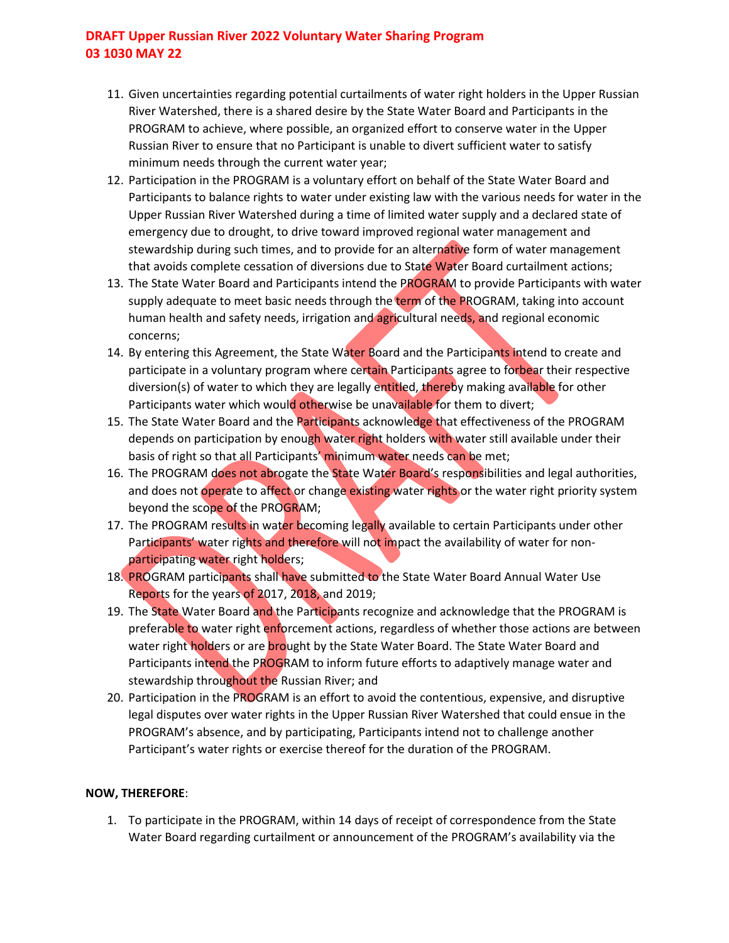- 11. Given uncertainties regarding potential curtailments of water right holders in the Upper Russian River Watershed, there is a shared desire by the State Water Board and Participants in the PROGRAM to achieve, where possible, an organized effort to conserve water in the Upper Russian River to ensure that no Participant is unable to divert sufficient water to satisfy minimum needs through the current water year;
- 12. Participation in the PROGRAM is a voluntary effort on behalf of the State Water Board and Participants to balance rights to water under existing law with the various needs for water in the Upper Russian River Watershed during a time of limited water supply and a declared state of emergency due to drought, to drive toward improved regional water management and stewardship during such times, and to provide for an alternative form of water management that avoids complete cessation of diversions due to State Water Board curtailment actions;
- 13. The State Water Board and Participants intend the PROGRAM to provide Participants with water supply adequate to meet basic needs through the term of the PROGRAM, taking into account human health and safety needs, irrigation and agricultural needs, and regional economic concerns;
- 14. By entering this Agreement, the State Water Board and the Participants intend to create and participate in a voluntary program where certain Participants agree to forbear their respective diversion(s) of water to which they are legally entitled, thereby making available for other Participants water which would otherwise be unavailable for them to divert;
- 15. The State Water Board and the Participants acknowledge that effectiveness of the PROGRAM depends on participation by enough water right holders with water still available under their basis of right so that all Participants' minimum water needs can be met;
- 16. The PROGRAM does not abrogate the State Water Board's responsibilities and legal authorities, and does not operate to affect or change existing water rights or the water right priority system beyond the scope of the PROGRAM;
- 17. The PROGRAM results in water becoming legally available to certain Participants under other Participants' water rights and therefore will not impact the availability of water for nonparticipating water right holders;
- 18. PROGRAM participants shall have submitted to the State Water Board Annual Water Use Reports for the years of 2017, 2018, and 2019;
- 19. The State Water Board and the Participants recognize and acknowledge that the PROGRAM is preferable to water right enforcement actions, regardless of whether those actions are between water right holders or are brought by the State Water Board. The State Water Board and Participants intend the PROGRAM to inform future efforts to adaptively manage water and stewardship throughout the Russian River; and
- 20. Participation in the PROGRAM is an effort to avoid the contentious, expensive, and disruptive legal disputes over water rights in the Upper Russian River Watershed that could ensue in the PROGRAM's absence, and by participating, Participants intend not to challenge another Participant's water rights or exercise thereof for the duration of the PROGRAM.

### **NOW, THEREFORE**:

1. To participate in the PROGRAM, within 14 days of receipt of correspondence from the State Water Board regarding curtailment or announcement of the PROGRAM's availability via the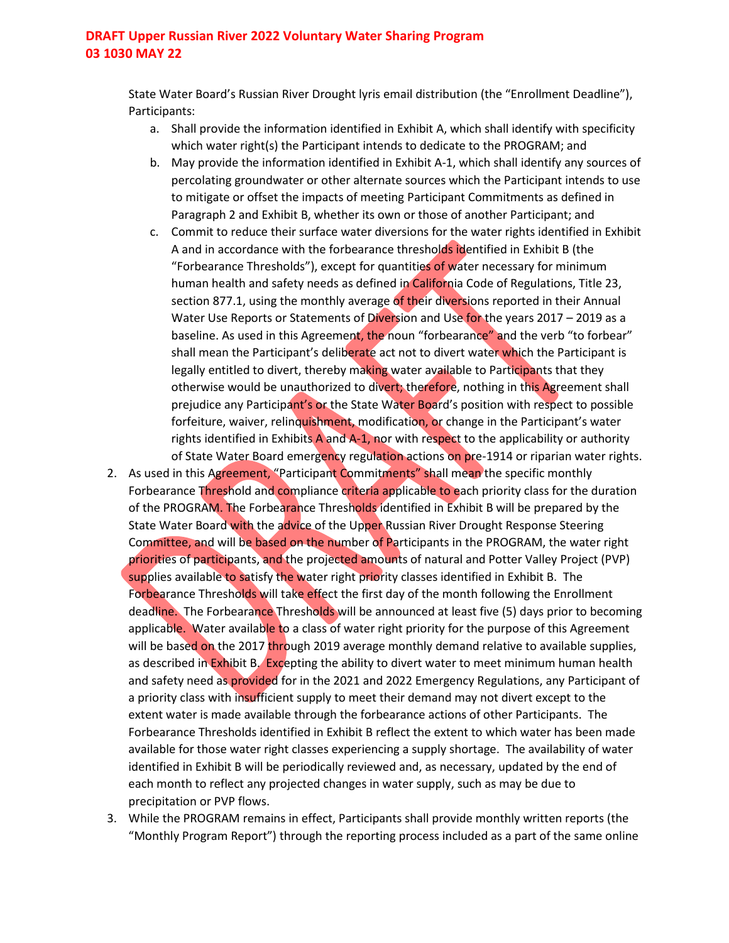State Water Board's Russian River Drought lyris email distribution (the "Enrollment Deadline"), Participants:

- a. Shall provide the information identified in Exhibit A, which shall identify with specificity which water right(s) the Participant intends to dedicate to the PROGRAM; and
- b. May provide the information identified in Exhibit A-1, which shall identify any sources of percolating groundwater or other alternate sources which the Participant intends to use to mitigate or offset the impacts of meeting Participant Commitments as defined in Paragraph 2 and Exhibit B, whether its own or those of another Participant; and
- c. Commit to reduce their surface water diversions for the water rights identified in Exhibit A and in accordance with the forbearance thresholds identified in Exhibit B (the "Forbearance Thresholds"), except for quantities of water necessary for minimum human health and safety needs as defined in California Code of Regulations, Title 23, section 877.1, using the monthly average of their diversions reported in their Annual Water Use Reports or Statements of Diversion and Use for the years 2017 – 2019 as a baseline. As used in this Agreement, the noun "forbearance" and the verb "to forbear" shall mean the Participant's deliberate act not to divert water which the Participant is legally entitled to divert, thereby making water available to Participants that they otherwise would be unauthorized to divert; therefore, nothing in this Agreement shall prejudice any Participant's or the State Water Board's position with respect to possible forfeiture, waiver, relinquishment, modification, or change in the Participant's water rights identified in Exhibits A and A-1, nor with respect to the applicability or authority of State Water Board emergency regulation actions on pre-1914 or riparian water rights.
- 2. As used in this Agreement, "Participant Commitments" shall mean the specific monthly Forbearance Threshold and compliance criteria applicable to each priority class for the duration of the PROGRAM. The Forbearance Thresholds identified in Exhibit B will be prepared by the State Water Board with the advice of the Upper Russian River Drought Response Steering Committee, and will be based on the number of Participants in the PROGRAM, the water right priorities of participants, and the projected amounts of natural and Potter Valley Project (PVP) supplies available to satisfy the water right priority classes identified in Exhibit B. The Forbearance Thresholds will take effect the first day of the month following the Enrollment deadline. The Forbearance Thresholds will be announced at least five (5) days prior to becoming applicable. Water available to a class of water right priority for the purpose of this Agreement will be based on the 2017 through 2019 average monthly demand relative to available supplies, as described in Exhibit B. Excepting the ability to divert water to meet minimum human health and safety need as provided for in the 2021 and 2022 Emergency Regulations, any Participant of a priority class with insufficient supply to meet their demand may not divert except to the extent water is made available through the forbearance actions of other Participants. The Forbearance Thresholds identified in Exhibit B reflect the extent to which water has been made available for those water right classes experiencing a supply shortage. The availability of water identified in Exhibit B will be periodically reviewed and, as necessary, updated by the end of each month to reflect any projected changes in water supply, such as may be due to precipitation or PVP flows.
- 3. While the PROGRAM remains in effect, Participants shall provide monthly written reports (the "Monthly Program Report") through the reporting process included as a part of the same online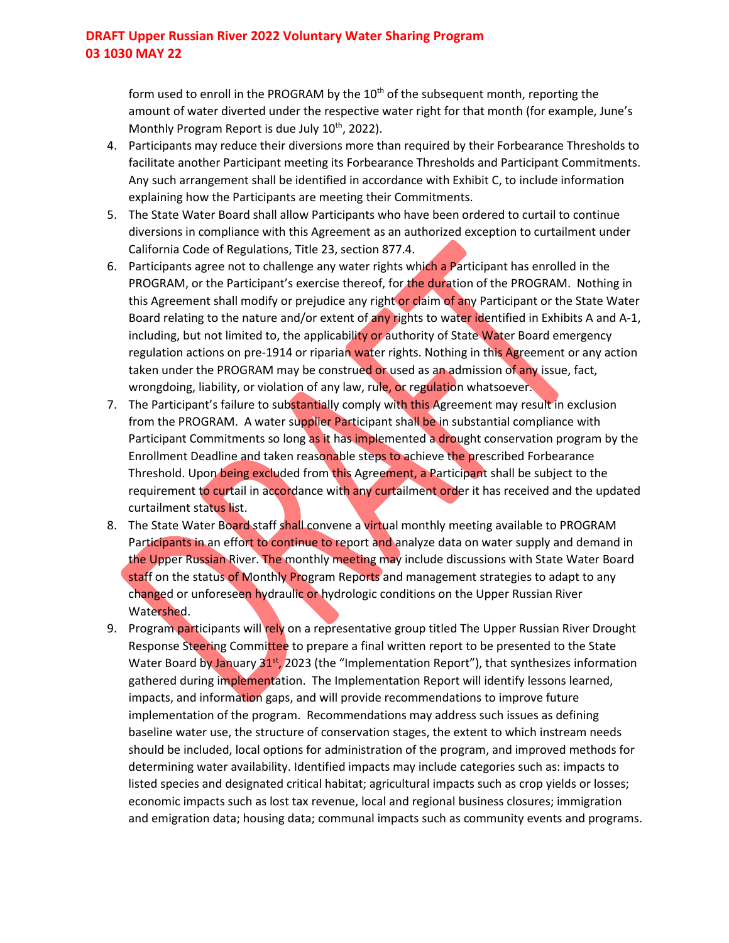form used to enroll in the PROGRAM by the  $10<sup>th</sup>$  of the subsequent month, reporting the amount of water diverted under the respective water right for that month (for example, June's Monthly Program Report is due July 10<sup>th</sup>, 2022).

- 4. Participants may reduce their diversions more than required by their Forbearance Thresholds to facilitate another Participant meeting its Forbearance Thresholds and Participant Commitments. Any such arrangement shall be identified in accordance with Exhibit C, to include information explaining how the Participants are meeting their Commitments.
- 5. The State Water Board shall allow Participants who have been ordered to curtail to continue diversions in compliance with this Agreement as an authorized exception to curtailment under California Code of Regulations, Title 23, section 877.4.
- 6. Participants agree not to challenge any water rights which a Participant has enrolled in the PROGRAM, or the Participant's exercise thereof, for the duration of the PROGRAM. Nothing in this Agreement shall modify or prejudice any right or claim of any Participant or the State Water Board relating to the nature and/or extent of any rights to water identified in Exhibits A and A-1, including, but not limited to, the applicability or authority of State Water Board emergency regulation actions on pre-1914 or riparian water rights. Nothing in this Agreement or any action taken under the PROGRAM may be construed or used as an admission of any issue, fact, wrongdoing, liability, or violation of any law, rule, or regulation whatsoever.
- 7. The Participant's failure to substantially comply with this Agreement may result in exclusion from the PROGRAM. A water supplier Participant shall be in substantial compliance with Participant Commitments so long as it has implemented a drought conservation program by the Enrollment Deadline and taken reasonable steps to achieve the prescribed Forbearance Threshold. Upon being excluded from this Agreement, a Participant shall be subject to the requirement to curtail in accordance with any curtailment order it has received and the updated curtailment status list.
- 8. The State Water Board staff shall convene a virtual monthly meeting available to PROGRAM Participants in an effort to continue to report and analyze data on water supply and demand in the Upper Russian River. The monthly meeting may include discussions with State Water Board staff on the status of Monthly Program Reports and management strategies to adapt to any changed or unforeseen hydraulic or hydrologic conditions on the Upper Russian River Watershed.
- 9. Program participants will rely on a representative group titled The Upper Russian River Drought Response Steering Committee to prepare a final written report to be presented to the State Water Board by January  $31^{st}$ , 2023 (the "Implementation Report"), that synthesizes information gathered during implementation. The Implementation Report will identify lessons learned, impacts, and information gaps, and will provide recommendations to improve future implementation of the program. Recommendations may address such issues as defining baseline water use, the structure of conservation stages, the extent to which instream needs should be included, local options for administration of the program, and improved methods for determining water availability. Identified impacts may include categories such as: impacts to listed species and designated critical habitat; agricultural impacts such as crop yields or losses; economic impacts such as lost tax revenue, local and regional business closures; immigration and emigration data; housing data; communal impacts such as community events and programs.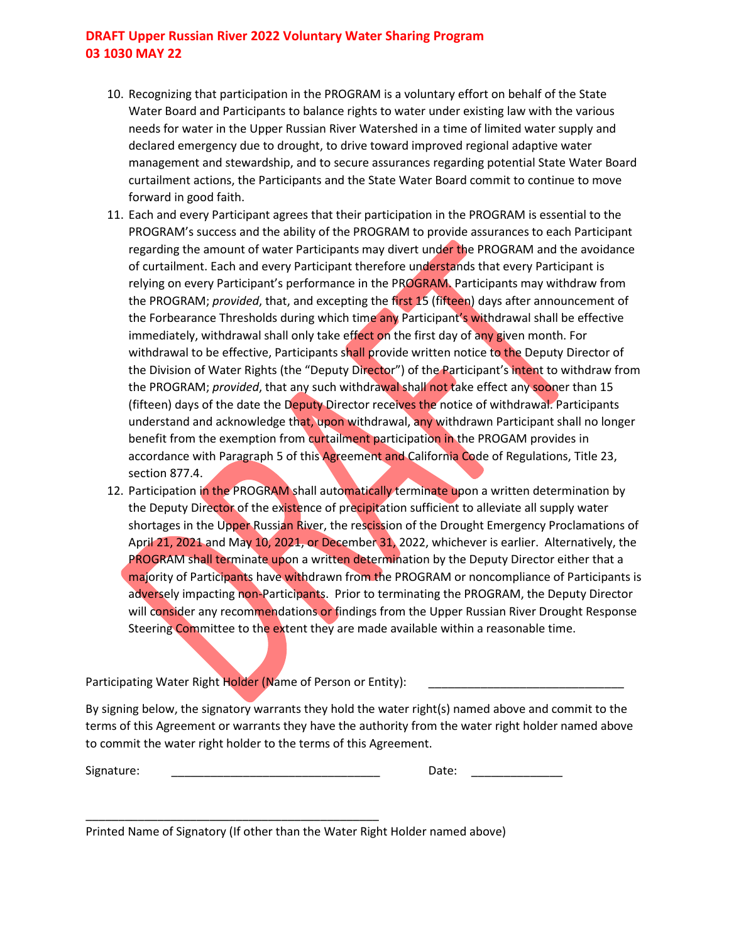- 10. Recognizing that participation in the PROGRAM is a voluntary effort on behalf of the State Water Board and Participants to balance rights to water under existing law with the various needs for water in the Upper Russian River Watershed in a time of limited water supply and declared emergency due to drought, to drive toward improved regional adaptive water management and stewardship, and to secure assurances regarding potential State Water Board curtailment actions, the Participants and the State Water Board commit to continue to move forward in good faith.
- 11. Each and every Participant agrees that their participation in the PROGRAM is essential to the PROGRAM's success and the ability of the PROGRAM to provide assurances to each Participant regarding the amount of water Participants may divert under the PROGRAM and the avoidance of curtailment. Each and every Participant therefore understands that every Participant is relying on every Participant's performance in the PROGRAM. Participants may withdraw from the PROGRAM; *provided*, that, and excepting the first 15 (fifteen) days after announcement of the Forbearance Thresholds during which time any Participant's withdrawal shall be effective immediately, withdrawal shall only take effect on the first day of any given month. For withdrawal to be effective, Participants shall provide written notice to the Deputy Director of the Division of Water Rights (the "Deputy Director") of the Participant's intent to withdraw from the PROGRAM; *provided*, that any such withdrawal shall not take effect any sooner than 15 (fifteen) days of the date the Deputy Director receives the notice of withdrawal. Participants understand and acknowledge that, upon withdrawal, any withdrawn Participant shall no longer benefit from the exemption from curtailment participation in the PROGAM provides in accordance with Paragraph 5 of this Agreement and California Code of Regulations, Title 23, section 877.4.
- 12. Participation in the PROGRAM shall automatically terminate upon a written determination by the Deputy Director of the existence of precipitation sufficient to alleviate all supply water shortages in the Upper Russian River, the rescission of the Drought Emergency Proclamations of April 21, 2021 and May 10, 2021, or December 31, 2022, whichever is earlier. Alternatively, the PROGRAM shall terminate upon a written determination by the Deputy Director either that a majority of Participants have withdrawn from the PROGRAM or noncompliance of Participants is adversely impacting non-Participants. Prior to terminating the PROGRAM, the Deputy Director will consider any recommendations or findings from the Upper Russian River Drought Response Steering Committee to the extent they are made available within a reasonable time.

Participating Water Right Holder (Name of Person or Entity):

\_\_\_\_\_\_\_\_\_\_\_\_\_\_\_\_\_\_\_\_\_\_\_\_\_\_\_\_\_\_\_\_\_\_\_\_\_\_\_\_\_\_\_\_\_

By signing below, the signatory warrants they hold the water right(s) named above and commit to the terms of this Agreement or warrants they have the authority from the water right holder named above to commit the water right holder to the terms of this Agreement.

Signature: \_\_\_\_\_\_\_\_\_\_\_\_\_\_\_\_\_\_\_\_\_\_\_\_\_\_\_\_\_\_\_\_ Date: \_\_\_\_\_\_\_\_\_\_\_\_\_\_

| Date: |  |  |  |
|-------|--|--|--|
|       |  |  |  |

Printed Name of Signatory (If other than the Water Right Holder named above)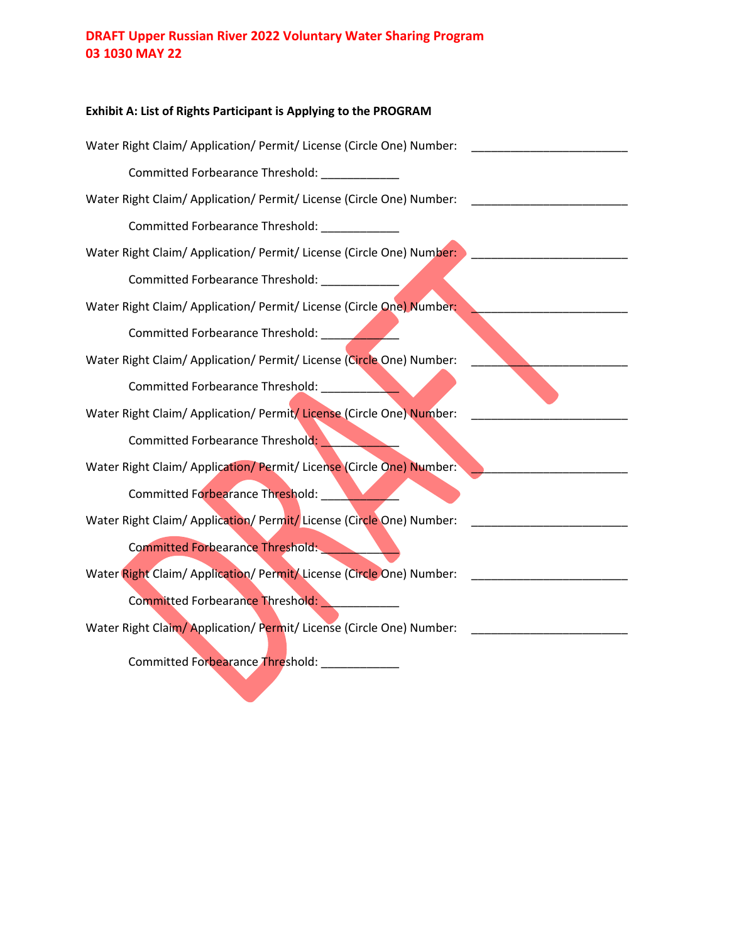# **Exhibit A: List of Rights Participant is Applying to the PROGRAM** Water Right Claim/ Application/ Permit/ License (Circle One) Number: Committed Forbearance Threshold: \_\_\_\_\_\_\_\_\_\_\_\_ Water Right Claim/ Application/ Permit/ License (Circle One) Number: Committed Forbearance Threshold: \_\_\_\_\_\_\_\_\_\_\_\_ Water Right Claim/ Application/ Permit/ License (Circle One) Number:  $\blacksquare$ Committed Forbearance Threshold: \_\_\_\_\_\_\_\_\_\_\_\_ Water Right Claim/ Application/ Permit/ License (Circle One) Number: Committed Forbearance Threshold: \_\_\_\_\_\_\_\_\_\_\_\_ Water Right Claim/ Application/ Permit/ License (Circle One) Number: Committed Forbearance Threshold: \_\_\_\_\_\_\_\_\_\_\_\_ Water Right Claim/ Application/ Permit/ License (Circle One) Number: Committed Forbearance Threshold: Water Right Claim/ Application/ Permit/ License (Circle One) Number: Committed Forbearance Threshold: \_\_\_\_\_\_ Water Right Claim/ Application/ Permit/ License (Circle One) Number: \_\_\_\_\_\_\_\_\_\_\_\_ Committed Forbearance Threshold: \_\_\_\_\_\_ Water Right Claim/ Application/ Permit/ License (Circle One) Number: \_\_\_\_\_\_\_\_\_\_\_\_\_\_\_\_\_\_ Committed Forbearance Threshold: \_\_\_\_\_\_\_\_\_ Water Right Claim/Application/Permit/License (Circle One) Number: \_\_\_\_\_\_\_\_\_\_\_\_\_\_ Committed Forbearance Threshold: \_\_\_\_\_\_\_\_\_\_\_\_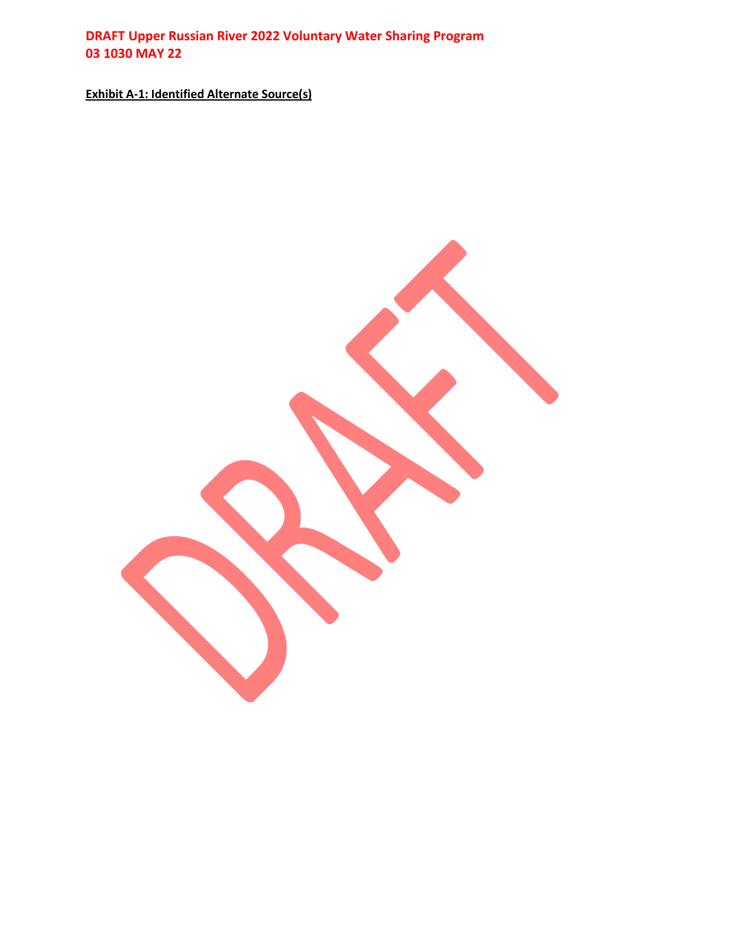**Exhibit A-1: Identified Alternate Source(s)**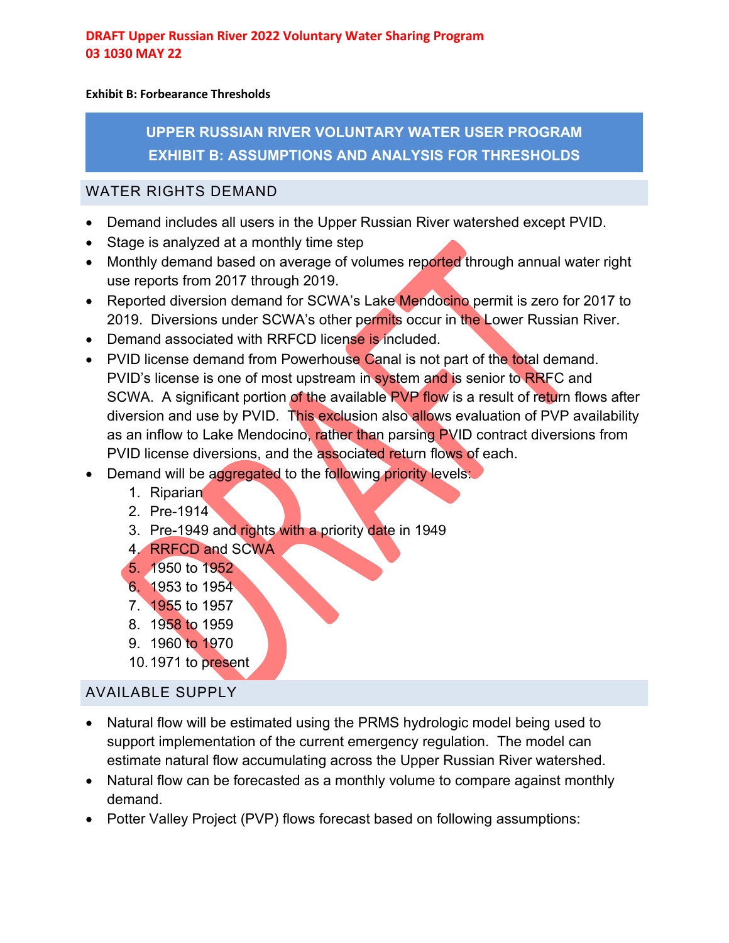### **Exhibit B: Forbearance Thresholds**

**UPPER RUSSIAN RIVER VOLUNTARY WATER USER PROGRAM EXHIBIT B: ASSUMPTIONS AND ANALYSIS FOR THRESHOLDS**

### WATER RIGHTS DEMAND

- Demand includes all users in the Upper Russian River watershed except PVID.
- Stage is analyzed at a monthly time step
- Monthly demand based on average of volumes reported through annual water right use reports from 2017 through 2019.
- Reported diversion demand for SCWA's Lake Mendocino permit is zero for 2017 to 2019. Diversions under SCWA's other permits occur in the Lower Russian River.
- Demand associated with RRFCD license is included.
- PVID license demand from Powerhouse Canal is not part of the total demand. PVID's license is one of most upstream in system and is senior to RRFC and SCWA. A significant portion of the available PVP flow is a result of return flows after diversion and use by PVID. This exclusion also allows evaluation of PVP availability as an inflow to Lake Mendocino, rather than parsing PVID contract diversions from PVID license diversions, and the associated return flows of each.
- Demand will be aggregated to the following priority levels:
	- 1. Riparian
	- 2. Pre-1914
	- 3. Pre-1949 and rights with a priority date in 1949
	- 4. RRFCD and SCWA
	- 5. 1950 to 1952
	- 6. 1953 to 1954
	- 7. 1955 to 1957
	- 8. 1958 to 1959
	- 9. 1960 to 1970
	- 10.1971 to present

# AVAILABLE SUPPLY

- Natural flow will be estimated using the PRMS hydrologic model being used to support implementation of the current emergency regulation. The model can estimate natural flow accumulating across the Upper Russian River watershed.
- Natural flow can be forecasted as a monthly volume to compare against monthly demand.
- Potter Valley Project (PVP) flows forecast based on following assumptions: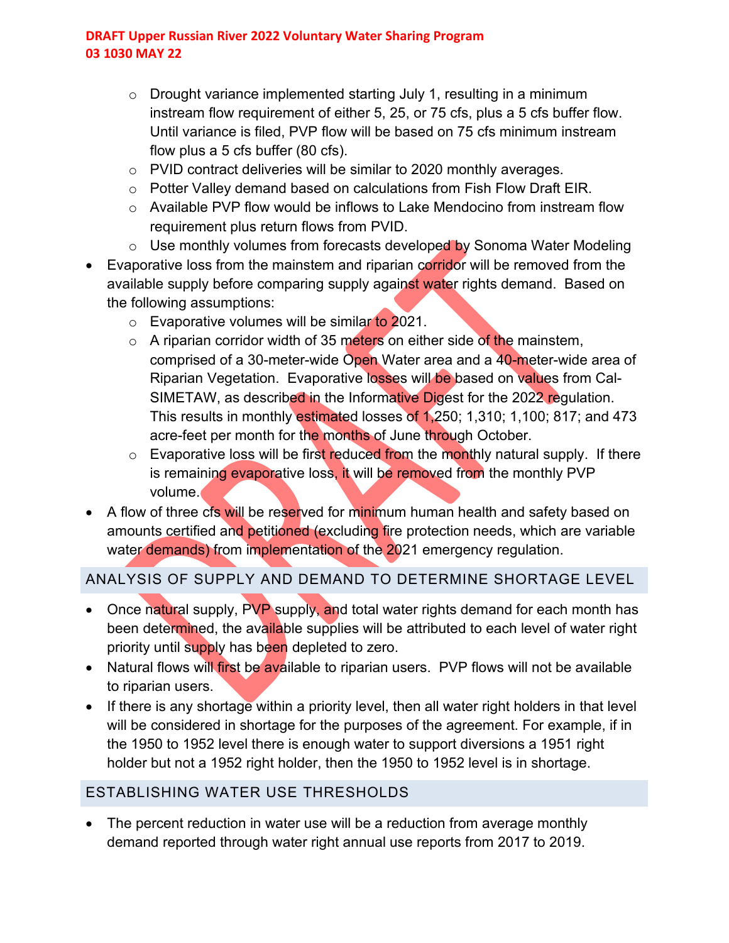- $\circ$  Drought variance implemented starting July 1, resulting in a minimum instream flow requirement of either 5, 25, or 75 cfs, plus a 5 cfs buffer flow. Until variance is filed, PVP flow will be based on 75 cfs minimum instream flow plus a 5 cfs buffer (80 cfs).
- o PVID contract deliveries will be similar to 2020 monthly averages.
- $\circ$  Potter Valley demand based on calculations from Fish Flow Draft EIR.
- o Available PVP flow would be inflows to Lake Mendocino from instream flow requirement plus return flows from PVID.
- o Use monthly volumes from forecasts developed by Sonoma Water Modeling
- Evaporative loss from the mainstem and riparian corridor will be removed from the available supply before comparing supply against water rights demand. Based on the following assumptions:
	- $\circ$  Evaporative volumes will be similar to 2021.
	- $\circ$  A riparian corridor width of 35 meters on either side of the mainstem, comprised of a 30-meter-wide Open Water area and a 40-meter-wide area of Riparian Vegetation. Evaporative losses will be based on values from Cal-SIMETAW, as described in the Informative Digest for the 2022 regulation. This results in monthly estimated losses of 1,250; 1,310; 1,100; 817; and 473 acre-feet per month for the months of June through October.
	- $\circ$  Evaporative loss will be first reduced from the monthly natural supply. If there is remaining evaporative loss, it will be removed from the monthly PVP volume.
- A flow of three cfs will be reserved for minimum human health and safety based on amounts certified and petitioned (excluding fire protection needs, which are variable water demands) from implementation of the 2021 emergency regulation.

# ANALYSIS OF SUPPLY AND DEMAND TO DETERMINE SHORTAGE LEVEL

- Once natural supply, PVP supply, and total water rights demand for each month has been determined, the available supplies will be attributed to each level of water right priority until supply has been depleted to zero.
- Natural flows will first be available to riparian users. PVP flows will not be available to riparian users.
- If there is any shortage within a priority level, then all water right holders in that level will be considered in shortage for the purposes of the agreement. For example, if in the 1950 to 1952 level there is enough water to support diversions a 1951 right holder but not a 1952 right holder, then the 1950 to 1952 level is in shortage.

# ESTABLISHING WATER USE THRESHOLDS

• The percent reduction in water use will be a reduction from average monthly demand reported through water right annual use reports from 2017 to 2019.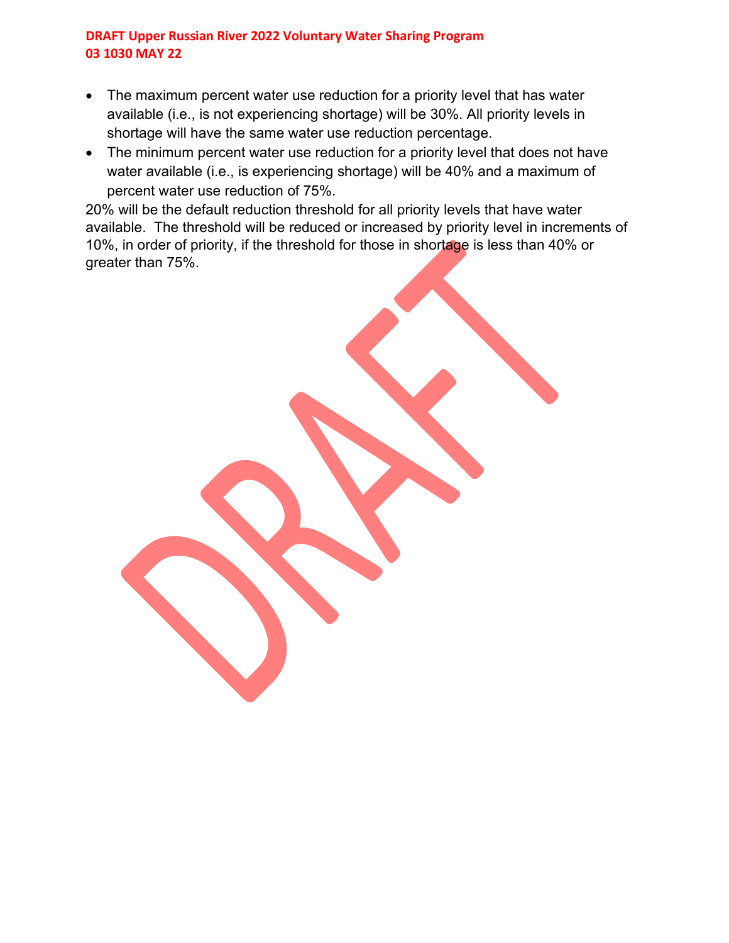- The maximum percent water use reduction for a priority level that has water available (i.e., is not experiencing shortage) will be 30%. All priority levels in shortage will have the same water use reduction percentage.
- The minimum percent water use reduction for a priority level that does not have water available (i.e., is experiencing shortage) will be 40% and a maximum of percent water use reduction of 75%.

20% will be the default reduction threshold for all priority levels that have water available. The threshold will be reduced or increased by priority level in increments of 10%, in order of priority, if the threshold for those in shortage is less than 40% or greater than 75%.